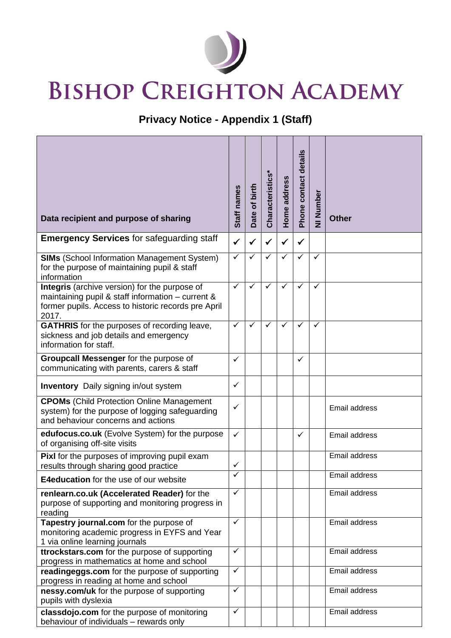

## **BISHOP CREIGHTON ACADEMY**

## **Privacy Notice - Appendix 1 (Staff)**

| Data recipient and purpose of sharing                                                                                                                              | Staff names  | Date of birth | Characteristics* | Home address | Phone contact details | NI Number | <b>Other</b>  |
|--------------------------------------------------------------------------------------------------------------------------------------------------------------------|--------------|---------------|------------------|--------------|-----------------------|-----------|---------------|
| <b>Emergency Services for safeguarding staff</b>                                                                                                                   | $\checkmark$ | ✓             | $\checkmark$     | $\checkmark$ | ✓                     |           |               |
| <b>SIMs</b> (School Information Management System)<br>for the purpose of maintaining pupil & staff<br>information                                                  | $\checkmark$ | $\checkmark$  | ✓                | $\checkmark$ | ✓                     | ✓         |               |
| Integris (archive version) for the purpose of<br>maintaining pupil & staff information - current &<br>former pupils. Access to historic records pre April<br>2017. | $\checkmark$ | ✓             | $\checkmark$     | ✓            | ✓                     | ✓         |               |
| <b>GATHRIS</b> for the purposes of recording leave,<br>sickness and job details and emergency<br>information for staff.                                            | $\checkmark$ | ✓             | $\checkmark$     | ✓            | ✓                     | ✓         |               |
| Groupcall Messenger for the purpose of<br>communicating with parents, carers & staff                                                                               | ✓            |               |                  |              | ✓                     |           |               |
| <b>Inventory</b> Daily signing in/out system                                                                                                                       | ✓            |               |                  |              |                       |           |               |
| <b>CPOMs</b> (Child Protection Online Management<br>system) for the purpose of logging safeguarding<br>and behaviour concerns and actions                          | ✓            |               |                  |              |                       |           | Email address |
| edufocus.co.uk (Evolve System) for the purpose<br>of organising off-site visits                                                                                    | $\checkmark$ |               |                  |              | ✓                     |           | Email address |
| <b>Pixl</b> for the purposes of improving pupil exam<br>results through sharing good practice                                                                      | ✓            |               |                  |              |                       |           | Email address |
| <b>E4education</b> for the use of our website                                                                                                                      |              |               |                  |              |                       |           | Email address |
| renlearn.co.uk (Accelerated Reader) for the<br>purpose of supporting and monitoring progress in<br>reading                                                         | $\checkmark$ |               |                  |              |                       |           | Email address |
| Tapestry journal.com for the purpose of<br>monitoring academic progress in EYFS and Year<br>1 via online learning journals                                         | $\checkmark$ |               |                  |              |                       |           | Email address |
| ttrockstars.com for the purpose of supporting<br>progress in mathematics at home and school                                                                        | $\checkmark$ |               |                  |              |                       |           | Email address |
| readingeggs.com for the purpose of supporting<br>progress in reading at home and school                                                                            | $\checkmark$ |               |                  |              |                       |           | Email address |
| nessy.com/uk for the purpose of supporting<br>pupils with dyslexia                                                                                                 | ✓            |               |                  |              |                       |           | Email address |
| classdojo.com for the purpose of monitoring<br>behaviour of individuals - rewards only                                                                             | $\checkmark$ |               |                  |              |                       |           | Email address |